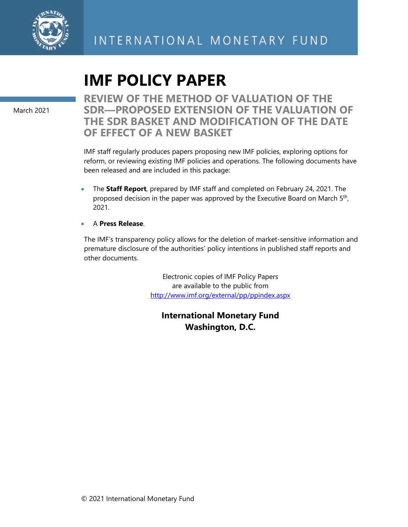

# **IMF POLICY PAPER**

March 2021

**REVIEW OF THE METHOD OF VALUATION OF THE SDR—PROPOSED EXTENSION OF THE VALUATION OF THE SDR BASKET AND MODIFICATION OF THE DATE OF EFFECT OF A NEW BASKET** 

IMF staff regularly produces papers proposing new IMF policies, exploring options for reform, or reviewing existing IMF policies and operations. The following documents have been released and are included in this package:

 The **Staff Report**, prepared by IMF staff and completed on February 24, 2021. The proposed decision in the paper was approved by the Executive Board on March 5<sup>th</sup>, 2021.

### A **Press Release**.

The IMF's transparency policy allows for the deletion of market-sensitive information and premature disclosure of the authorities' policy intentions in published staff reports and other documents.

> Electronic copies of IMF Policy Papers are available to the public from http://www.imf.org/external/pp/ppindex.aspx

**International Monetary Fund Washington, D.C.**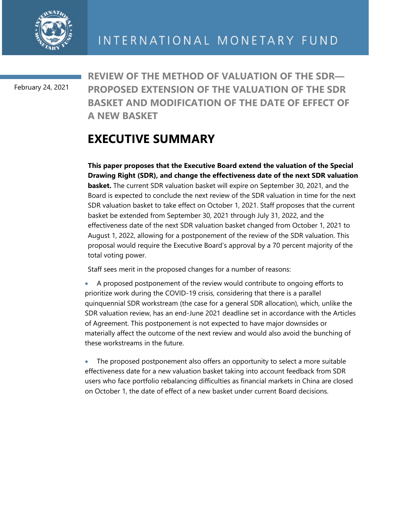

February 24, 2021

**REVIEW OF THE METHOD OF VALUATION OF THE SDR— PROPOSED EXTENSION OF THE VALUATION OF THE SDR BASKET AND MODIFICATION OF THE DATE OF EFFECT OF A NEW BASKET** 

## **EXECUTIVE SUMMARY**

**This paper proposes that the Executive Board extend the valuation of the Special Drawing Right (SDR), and change the effectiveness date of the next SDR valuation basket.** The current SDR valuation basket will expire on September 30, 2021, and the Board is expected to conclude the next review of the SDR valuation in time for the next SDR valuation basket to take effect on October 1, 2021. Staff proposes that the current basket be extended from September 30, 2021 through July 31, 2022, and the effectiveness date of the next SDR valuation basket changed from October 1, 2021 to August 1, 2022, allowing for a postponement of the review of the SDR valuation. This proposal would require the Executive Board's approval by a 70 percent majority of the total voting power.

Staff sees merit in the proposed changes for a number of reasons:

 A proposed postponement of the review would contribute to ongoing efforts to prioritize work during the COVID-19 crisis, considering that there is a parallel quinquennial SDR workstream (the case for a general SDR allocation), which, unlike the SDR valuation review, has an end-June 2021 deadline set in accordance with the Articles of Agreement. This postponement is not expected to have major downsides or materially affect the outcome of the next review and would also avoid the bunching of these workstreams in the future.

 The proposed postponement also offers an opportunity to select a more suitable effectiveness date for a new valuation basket taking into account feedback from SDR users who face portfolio rebalancing difficulties as financial markets in China are closed on October 1, the date of effect of a new basket under current Board decisions.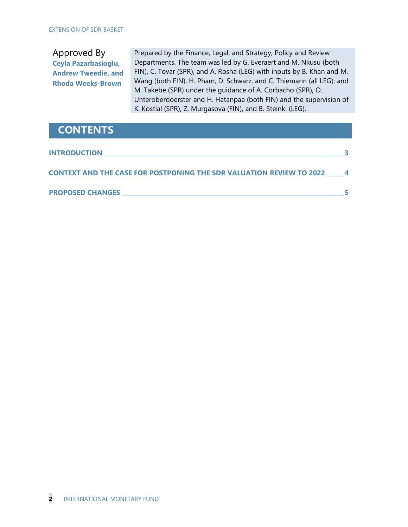Approved By **Ceyla Pazarbasioglu, Andrew Tweedie, and Rhoda Weeks-Brown**

Prepared by the Finance, Legal, and Strategy, Policy and Review Departments. The team was led by G. Everaert and M. Nkusu (both FIN), C. Tovar (SPR), and A. Rosha (LEG) with inputs by B. Khan and M. Wang (both FIN), H. Pham, D. Schwarz, and C. Thiemann (all LEG); and M. Takebe (SPR) under the guidance of A. Corbacho (SPR), O. Unteroberdoerster and H. Hatanpaa (both FIN) and the supervision of K. Kostial (SPR), Z. Murgasova (FIN), and B. Steinki (LEG).

### **CONTENTS**

| <b>INTRODUCTION</b>                                                  |  |
|----------------------------------------------------------------------|--|
| CONTEXT AND THE CASE FOR POSTPONING THE SDR VALUATION REVIEW TO 2022 |  |
| <b>PROPOSED CHANGES</b>                                              |  |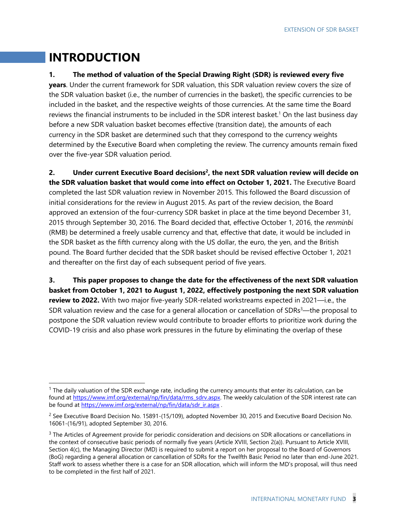## **INTRODUCTION**

#### **1. The method of valuation of the Special Drawing Right (SDR) is reviewed every five**

**years**. Under the current framework for SDR valuation, this SDR valuation review covers the size of the SDR valuation basket (i.e., the number of currencies in the basket), the specific currencies to be included in the basket, and the respective weights of those currencies. At the same time the Board reviews the financial instruments to be included in the SDR interest basket.<sup>1</sup> On the last business day before a new SDR valuation basket becomes effective (transition date), the amounts of each currency in the SDR basket are determined such that they correspond to the currency weights determined by the Executive Board when completing the review. The currency amounts remain fixed over the five-year SDR valuation period.

**2. Under current Executive Board decisions2, the next SDR valuation review will decide on the SDR valuation basket that would come into effect on October 1, 2021.** The Executive Board completed the last SDR valuation review in November 2015. This followed the Board discussion of initial considerations for the review in August 2015. As part of the review decision, the Board approved an extension of the four-currency SDR basket in place at the time beyond December 31, 2015 through September 30, 2016. The Board decided that, effective October 1, 2016, the *renminbi* (RMB) be determined a freely usable currency and that, effective that date, it would be included in the SDR basket as the fifth currency along with the US dollar, the euro, the yen, and the British pound. The Board further decided that the SDR basket should be revised effective October 1, 2021 and thereafter on the first day of each subsequent period of five years.

**3. This paper proposes to change the date for the effectiveness of the next SDR valuation basket from October 1, 2021 to August 1, 2022, effectively postponing the next SDR valuation review to 2022.** With two major five-yearly SDR-related workstreams expected in 2021—i.e., the SDR valuation review and the case for a general allocation or cancellation of SDRs<sup>3</sup>—the proposal to postpone the SDR valuation review would contribute to broader efforts to prioritize work during the COVID-19 crisis and also phase work pressures in the future by eliminating the overlap of these

 $1$  The daily valuation of the SDR exchange rate, including the currency amounts that enter its calculation, can be found at https://www.imf.org/external/np/fin/data/rms\_sdrv.aspx. The weekly calculation of the SDR interest rate can be found at https://www.imf.org/external/np/fin/data/sdr\_ir.aspx .

 $^2$  See Executive Board Decision No. 15891-(15/109), adopted November 30, 2015 and Executive Board Decision No. 16061-(16/91), adopted September 30, 2016.

 $3$  The Articles of Agreement provide for periodic consideration and decisions on SDR allocations or cancellations in the context of consecutive basic periods of normally five years (Article XVIII, Section 2(a)). Pursuant to Article XVIII, Section 4(c), the Managing Director (MD) is required to submit a report on her proposal to the Board of Governors (BoG) regarding a general allocation or cancellation of SDRs for the Twelfth Basic Period no later than end-June 2021. Staff work to assess whether there is a case for an SDR allocation, which will inform the MD's proposal, will thus need to be completed in the first half of 2021.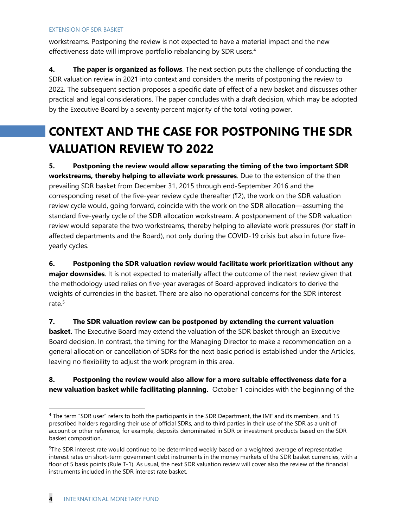workstreams. Postponing the review is not expected to have a material impact and the new effectiveness date will improve portfolio rebalancing by SDR users.<sup>4</sup>

**4. The paper is organized as follows**. The next section puts the challenge of conducting the SDR valuation review in 2021 into context and considers the merits of postponing the review to 2022. The subsequent section proposes a specific date of effect of a new basket and discusses other practical and legal considerations. The paper concludes with a draft decision, which may be adopted by the Executive Board by a seventy percent majority of the total voting power.

## **CONTEXT AND THE CASE FOR POSTPONING THE SDR VALUATION REVIEW TO 2022**

**5. Postponing the review would allow separating the timing of the two important SDR workstreams, thereby helping to alleviate work pressures**. Due to the extension of the then prevailing SDR basket from December 31, 2015 through end-September 2016 and the corresponding reset of the five-year review cycle thereafter (¶2), the work on the SDR valuation review cycle would, going forward, coincide with the work on the SDR allocation—assuming the standard five-yearly cycle of the SDR allocation workstream. A postponement of the SDR valuation review would separate the two workstreams, thereby helping to alleviate work pressures (for staff in affected departments and the Board), not only during the COVID-19 crisis but also in future fiveyearly cycles.

### **6. Postponing the SDR valuation review would facilitate work prioritization without any major downsides**. It is not expected to materially affect the outcome of the next review given that the methodology used relies on five-year averages of Board-approved indicators to derive the weights of currencies in the basket. There are also no operational concerns for the SDR interest rate.5

**7. The SDR valuation review can be postponed by extending the current valuation basket.** The Executive Board may extend the valuation of the SDR basket through an Executive Board decision. In contrast, the timing for the Managing Director to make a recommendation on a general allocation or cancellation of SDRs for the next basic period is established under the Articles, leaving no flexibility to adjust the work program in this area.

### **8. Postponing the review would also allow for a more suitable effectiveness date for a new valuation basket while facilitating planning.** October 1 coincides with the beginning of the

<sup>4</sup> The term "SDR user" refers to both the participants in the SDR Department, the IMF and its members, and 15 prescribed holders regarding their use of official SDRs, and to third parties in their use of the SDR as a unit of account or other reference, for example, deposits denominated in SDR or investment products based on the SDR basket composition.

<sup>&</sup>lt;sup>5</sup>The SDR interest rate would continue to be determined weekly based on a weighted average of representative interest rates on short-term government debt instruments in the money markets of the SDR basket currencies, with a floor of 5 basis points (Rule T-1). As usual, the next SDR valuation review will cover also the review of the financial instruments included in the SDR interest rate basket.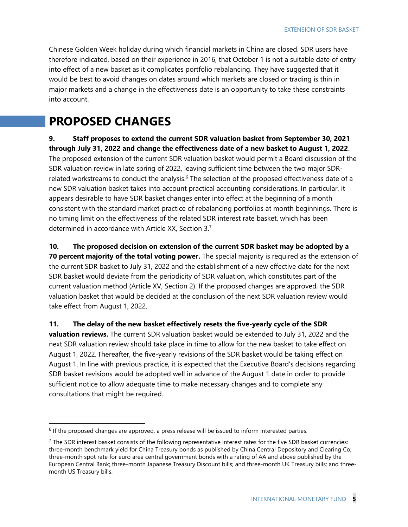Chinese Golden Week holiday during which financial markets in China are closed. SDR users have therefore indicated, based on their experience in 2016, that October 1 is not a suitable date of entry into effect of a new basket as it complicates portfolio rebalancing. They have suggested that it would be best to avoid changes on dates around which markets are closed or trading is thin in major markets and a change in the effectiveness date is an opportunity to take these constraints into account.

## **PROPOSED CHANGES**

**9. Staff proposes to extend the current SDR valuation basket from September 30, 2021 through July 31, 2022 and change the effectiveness date of a new basket to August 1, 2022**. The proposed extension of the current SDR valuation basket would permit a Board discussion of the SDR valuation review in late spring of 2022, leaving sufficient time between the two major SDRrelated workstreams to conduct the analysis.<sup>6</sup> The selection of the proposed effectiveness date of a new SDR valuation basket takes into account practical accounting considerations. In particular, it appears desirable to have SDR basket changes enter into effect at the beginning of a month consistent with the standard market practice of rebalancing portfolios at month beginnings. There is no timing limit on the effectiveness of the related SDR interest rate basket, which has been determined in accordance with Article XX, Section 3.7

**10. The proposed decision on extension of the current SDR basket may be adopted by a** 

**70 percent majority of the total voting power.** The special majority is required as the extension of the current SDR basket to July 31, 2022 and the establishment of a new effective date for the next SDR basket would deviate from the periodicity of SDR valuation, which constitutes part of the current valuation method (Article XV, Section 2). If the proposed changes are approved, the SDR valuation basket that would be decided at the conclusion of the next SDR valuation review would take effect from August 1, 2022.

**11. The delay of the new basket effectively resets the five-yearly cycle of the SDR** 

**valuation reviews.** The current SDR valuation basket would be extended to July 31, 2022 and the next SDR valuation review should take place in time to allow for the new basket to take effect on August 1, 2022. Thereafter, the five-yearly revisions of the SDR basket would be taking effect on August 1. In line with previous practice, it is expected that the Executive Board's decisions regarding SDR basket revisions would be adopted well in advance of the August 1 date in order to provide sufficient notice to allow adequate time to make necessary changes and to complete any consultations that might be required.

 $6$  If the proposed changes are approved, a press release will be issued to inform interested parties.

 $<sup>7</sup>$  The SDR interest basket consists of the following representative interest rates for the five SDR basket currencies:</sup> three-month benchmark yield for China Treasury bonds as published by China Central Depository and Clearing Co; three-month spot rate for euro area central government bonds with a rating of AA and above published by the European Central Bank; three-month Japanese Treasury Discount bills; and three-month UK Treasury bills; and threemonth US Treasury bills.